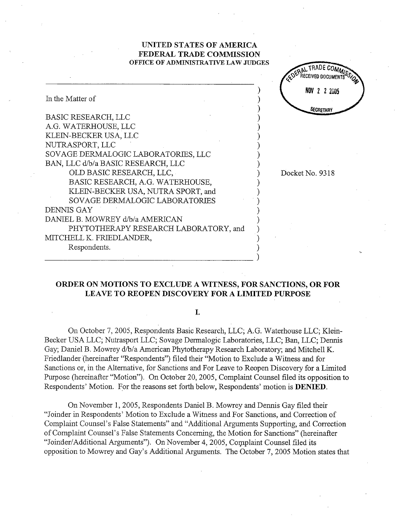## UNITED STATES OF AMERICA FEDERAL TRADE COMMISSION OFFICE OF ADMINISTRATIVE LAW JUDGES

AL TRADE COMP

|                                                                                                                                                                                                                                                                                                                                                                                                                                                  | COENTECEIVED DOCUMER         |
|--------------------------------------------------------------------------------------------------------------------------------------------------------------------------------------------------------------------------------------------------------------------------------------------------------------------------------------------------------------------------------------------------------------------------------------------------|------------------------------|
| In the Matter of                                                                                                                                                                                                                                                                                                                                                                                                                                 | NOV 2 2 2005                 |
| <b>BASIC RESEARCH, LLC</b><br>A.G. WATERHOUSE, LLC<br>KLEIN-BECKER USA, LLC<br>NUTRASPORT, LLC<br>SOVAGE DERMALOGIC LABORATORIES, LLC<br>BAN, LLC d/b/a BASIC RESEARCH, LLC<br>OLD BASIC RESEARCH, LLC,<br>BASIC RESEARCH, A.G. WATERHOUSE,<br>KLEIN-BECKER USA, NUTRA SPORT, and<br>SOVAGE DERMALOGIC LABORATORIES<br><b>DENNIS GAY</b><br>DANIEL B. MOWREY d/b/a AMERICAN<br>PHYTOTHERAPY RESEARCH LABORATORY, and<br>MITCHELL K. FRIEDLANDER, | SECRETARY<br>Docket No. 9318 |
| Respondents.                                                                                                                                                                                                                                                                                                                                                                                                                                     |                              |

# ORDER ON MOTIONS TO EXCLUDE A WITNESS, FOR SANCTIONS, OR FOR LEAVE TO REOPEN DISCOVERY FOR A LIMITED PURPOSE

L

On October 7, 2005, Respondents Basic Research, LLC; A.G. Waterhouse LLC; Klein-Becker USA LLC; Nutrasport LLC; Sovage Dermalogic Laboratories, LLC; Ban, LLC; Dennis Gay; Daniel B. Mowrey d/b/a American Phytotherapy Research Laboratory; and Mitchell K. Friedlander (hereinafter "Respondents") filed their "Motion to Exclude a Witness and for Sanctions or, in the Alternative, for Sanctions and For Leave to Reopen Discovery for a Limited Purpose (hereinafter "Motion"). On October 20, 2005, Complaint Counsel filed its opposition to Respondents' Motion. For the reasons set forth below, Respondents' motion is **DENIED**.

On November 1, 2005, Respondents Daniel B. Mowrey and Dennis Gay filed their "Joinder in Respondents' Motion to Exclude a Witness and For Sanctions, and Correction of Complaint Counsel's False Statements" and "Additional Arguments Supporting, and Correction of Complaint Counsel's False Statements Concerning, the Motion for Sanctions" (hereinafter Joinder/Additional Arguments"). On November 4, 2005, Complaint Counsel filed its opposition to Mowrey and Gay s Additional Arguments. The October 7, 2005 Motion states that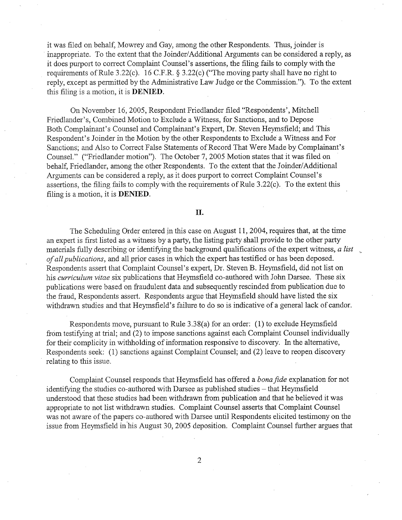it was filed on behalf, Mowrey and Gay, among the other Respondents. Thus, joinder is inappropriate. To the extent that the Joinder/Additional Arguments can be considered a reply, as it does purport to correct Complaint Counsel's assertions, the filing fails to comply with the requirements of Rule 3.22(c). 16 C.F.R. § 3.22(c) ("The moving party shall have no right to reply, except as permitted by the Administrative Law Judge or the Commission."). To the extent this filing is a motion, it is DENIED.

On November 16 2005, Respondent Friedlander filed "Respondents , Mitchell Friedlander's, Combined Motion to Exclude a Witness, for Sanctions, and to Depose Both Complainant's Counsel and Complainant's Expert, Dr. Steven Heymsfield; and This Respondent's Joinder in the Motion by the other Respondents to Exclude a Witness and For Sanctions; and Also to Correct False Statements of Record That Were Made by Complainant' Counsel." ("Friedlander motion"). The October 7, 2005 Motion states that it was filed on behalf, Friedlander, among the other Respondents. To the extent that the Joinder/Additional Argliments can be considered a reply, as it does purport to correct Complaint Counsel's assertions, the filing fails to comply with the requirements of Rule 3.22(c). To the extent this filing is a motion, it is DENIED.

#### II.

The Scheduling Order entered in this case on August 11, 2004, requires that, at the time an expert is first listed as a witness by a party, the listing party shall provide to the other party materials fully describing or identifying the background qualifications of the expert witness,  $a$  list of all publications, and all prior cases in which the expert has testified or has been deposed. Respondents assert that Complaint Counsel's expert, Dr. Steven B. Heymsfield, did not list on his *curriculum vitae* six publications that Heymsfield co-authored with John Darsee. These six publications were based on fraudulent data and subsequently rescinded from publication due to the fraud, Respondents assert. Respondents argue that Heymsfield should have listed the six withdrawn studies and that Heymsfield's failure to do so is indicative of a general lack of candor.

Respondents move, pursuant to Rule 3.38(a) for an order: (1) to exclude Heymsfield from testifying at trial; and (2) to impose sanctions against each Complaint Counsel individually for their complicity in withholding of information responsive to discovery. In the alternative Respondents seek: (1) sanctions against Complaint Counsel; and (2) leave to reopen discovery relating to this issue.

Complaint Counsel responds that Heymsfield has offered a bona fide explanation for not identifying the studies co-authored with Darsee as published studies - that Heymsfield understood that these studies had been withdrawn from publication and that he believed it was appropriate to not list withdrawn studies. Complaint Counsel asserts that Complaint Counsel was not aware of the papers co-authored with Darsee until Respondents elicited testimony on the issue from Heyrsfield in his August 30, 2005 deposition. Complaint Counsel further argues that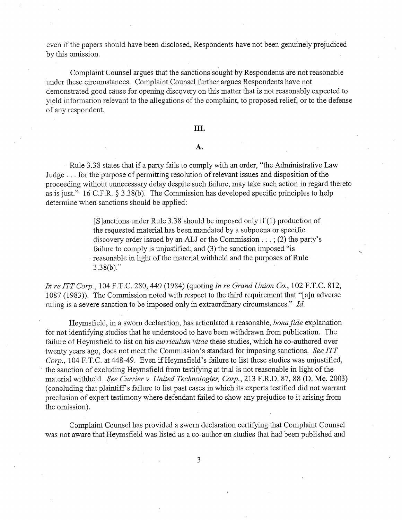even if the papers should have been disclosed, Respondents have not been genuinely prejudiced by this omission.

Complaint Counsel argues that the sanctions sought by Respondents are not reasonable under these circumstances. Complaint Counsel further argues Respondents have not demonstrated good cause for opening discovery on this matter that is not reasonably expected to yield infonnation relevant to the allegations of the complaint, to proposed relief, or to the defense of any respondent.

## III.

## $\mathbf{A}$ .

Rule 3.38 states that if a party fails to comply with an order, "the Administrative Law Judge. . . for the purpose of permitting resolution of relevant issues and disposition of the proceeding without unnecessary delay despite such failure, may take such action in regard thereto as is just."  $16$  C.F.R. § 3.38(b). The Commission has developed specific principles to help determine when sanctions should be applied:

> (SJanctionsunder Rule 3.38 should be imposed only if (1) production of the requested material has been mandated by a subpoena or specific discovery order issued by an ALJ or the Commission  $\dots$ ; (2) the party's failure to comply is unjustified; and (3) the sanction imposed "is reasonable in light of the material withheld and the purposes of Rule  $3.38(b)$ ."

In re ITT Corp., 104 F.T.C. 280, 449 (1984) (quoting In re Grand Union Co., 102 F.T.C. 812, 1087 (1983)). The Commission noted with respect to the third requirement that "(aJn adverse ruling is a severe sanction to be imposed only in extraordinary circumstances." Id.

Heymsfield, in a sworn declaration, has articulated a reasonable, bona fide explanation for not identifying studies that he understood to have been withdrawn from publication. The failure of Heymsfield to list on his *curriculum vitae* these studies, which he co-authored over twenty years ago, does not meet the Commission's standard for imposing sanctions. See ITT Corp., 104 F.T.C. at 448-49. Even if Heymsfield's failure to list these studies was unjustified, . the sanction of excluding Heymsfield from testifyng at tral is not reasonable in light of the material withheld. See Currier v. United Technologies, Corp., 213 F.R.D. 87, 88 (D. Me. 2003) (concluding that plaintiff s failure to list past cases in which its experts testified did not warant preclusion of expert testimony where defendant failed to show any prejudice to it arising from the omission).

Complaint Counsel has provided a sworn declaration certifyng that Complaint Counsel was not aware that Heymsfield was listed as a co-author on studies that had been published and

3